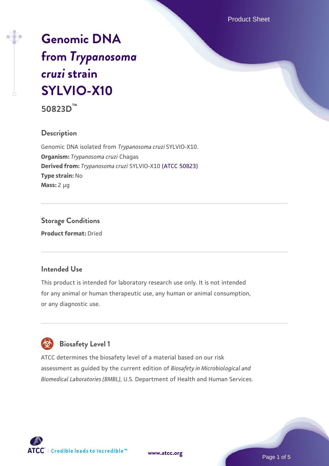Product Sheet

# **[Genomic DNA](https://www.atcc.org/products/50823d) [from](https://www.atcc.org/products/50823d)** *[Trypanosoma](https://www.atcc.org/products/50823d) [cruzi](https://www.atcc.org/products/50823d)* **[strain](https://www.atcc.org/products/50823d) [SYLVIO-X10](https://www.atcc.org/products/50823d)**

**50823D™**

### **Description**

Genomic DNA isolated from *Trypanosoma cruzi* SYLVIO-X10. **Organism:** *Trypanosoma cruzi* Chagas **Derived from:** *Trypanosoma cruzi* SYLVIO-X10 [\(ATCC 50823\)](https://www.atcc.org/products/50823) **Type strain:** No **Mass:** 2 µg

**Storage Conditions Product format:** Dried

### **Intended Use**

This product is intended for laboratory research use only. It is not intended for any animal or human therapeutic use, any human or animal consumption, or any diagnostic use.



 **Biosafety Level 1**

ATCC determines the biosafety level of a material based on our risk assessment as guided by the current edition of *Biosafety in Microbiological and Biomedical Laboratories (BMBL)*, U.S. Department of Health and Human Services.



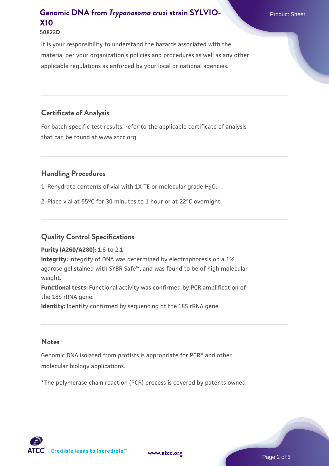# **[Genomic DNA from](https://www.atcc.org/products/50823d)** *[Trypanosoma cruzi](https://www.atcc.org/products/50823d)* [strain SYLVIO-](https://www.atcc.org/products/50823d) Product Sheet **[X10](https://www.atcc.org/products/50823d)**

#### **50823D**

It is your responsibility to understand the hazards associated with the material per your organization's policies and procedures as well as any other applicable regulations as enforced by your local or national agencies.

### **Certificate of Analysis**

For batch-specific test results, refer to the applicable certificate of analysis that can be found at www.atcc.org.

### **Handling Procedures**

1. Rehydrate contents of vial with 1X TE or molecular grade H<sub>2</sub>O.

2. Place vial at 55°C for 30 minutes to 1 hour or at 22°C overnight.

### **Quality Control Specifications**

#### **Purity (A260/A280):** 1.6 to 2.1

**Integrity:** Integrity of DNA was determined by electrophoresis on a 1% agarose gel stained with SYBR Safe™, and was found to be of high molecular weight.

**Functional tests:** Functional activity was confirmed by PCR amplification of the 18S rRNA gene.

**Identity:** Identity confirmed by sequencing of the 18S rRNA gene.

#### **Notes**

Genomic DNA isolated from protists is appropriate for PCR\* and other molecular biology applications.

\*The polymerase chain reaction (PCR) process is covered by patents owned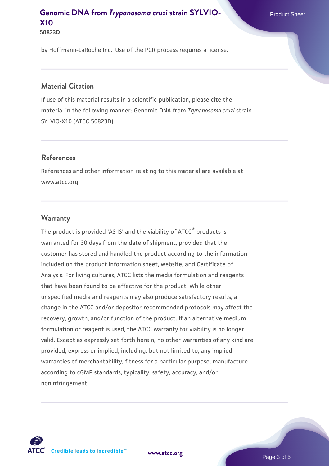# **[Genomic DNA from](https://www.atcc.org/products/50823d)** *[Trypanosoma cruzi](https://www.atcc.org/products/50823d)* [strain SYLVIO-](https://www.atcc.org/products/50823d) Product Sheet **[X10](https://www.atcc.org/products/50823d)**

**50823D**

by Hoffmann-LaRoche Inc. Use of the PCR process requires a license.

### **Material Citation**

If use of this material results in a scientific publication, please cite the material in the following manner: Genomic DNA from *Trypanosoma cruzi* strain SYLVIO-X10 (ATCC 50823D)

### **References**

References and other information relating to this material are available at www.atcc.org.

### **Warranty**

The product is provided 'AS IS' and the viability of ATCC® products is warranted for 30 days from the date of shipment, provided that the customer has stored and handled the product according to the information included on the product information sheet, website, and Certificate of Analysis. For living cultures, ATCC lists the media formulation and reagents that have been found to be effective for the product. While other unspecified media and reagents may also produce satisfactory results, a change in the ATCC and/or depositor-recommended protocols may affect the recovery, growth, and/or function of the product. If an alternative medium formulation or reagent is used, the ATCC warranty for viability is no longer valid. Except as expressly set forth herein, no other warranties of any kind are provided, express or implied, including, but not limited to, any implied warranties of merchantability, fitness for a particular purpose, manufacture according to cGMP standards, typicality, safety, accuracy, and/or noninfringement.

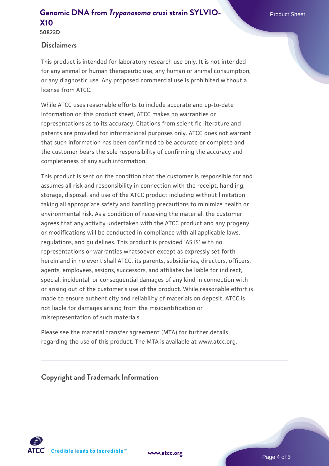### **[Genomic DNA from](https://www.atcc.org/products/50823d)** *[Trypanosoma cruzi](https://www.atcc.org/products/50823d)* [strain SYLVIO-](https://www.atcc.org/products/50823d) Product Sheet **[X10](https://www.atcc.org/products/50823d) 50823D**

### **Disclaimers**

This product is intended for laboratory research use only. It is not intended for any animal or human therapeutic use, any human or animal consumption, or any diagnostic use. Any proposed commercial use is prohibited without a license from ATCC.

While ATCC uses reasonable efforts to include accurate and up-to-date information on this product sheet, ATCC makes no warranties or representations as to its accuracy. Citations from scientific literature and patents are provided for informational purposes only. ATCC does not warrant that such information has been confirmed to be accurate or complete and the customer bears the sole responsibility of confirming the accuracy and completeness of any such information.

This product is sent on the condition that the customer is responsible for and assumes all risk and responsibility in connection with the receipt, handling, storage, disposal, and use of the ATCC product including without limitation taking all appropriate safety and handling precautions to minimize health or environmental risk. As a condition of receiving the material, the customer agrees that any activity undertaken with the ATCC product and any progeny or modifications will be conducted in compliance with all applicable laws, regulations, and guidelines. This product is provided 'AS IS' with no representations or warranties whatsoever except as expressly set forth herein and in no event shall ATCC, its parents, subsidiaries, directors, officers, agents, employees, assigns, successors, and affiliates be liable for indirect, special, incidental, or consequential damages of any kind in connection with or arising out of the customer's use of the product. While reasonable effort is made to ensure authenticity and reliability of materials on deposit, ATCC is not liable for damages arising from the misidentification or misrepresentation of such materials.

Please see the material transfer agreement (MTA) for further details regarding the use of this product. The MTA is available at www.atcc.org.

**Copyright and Trademark Information**